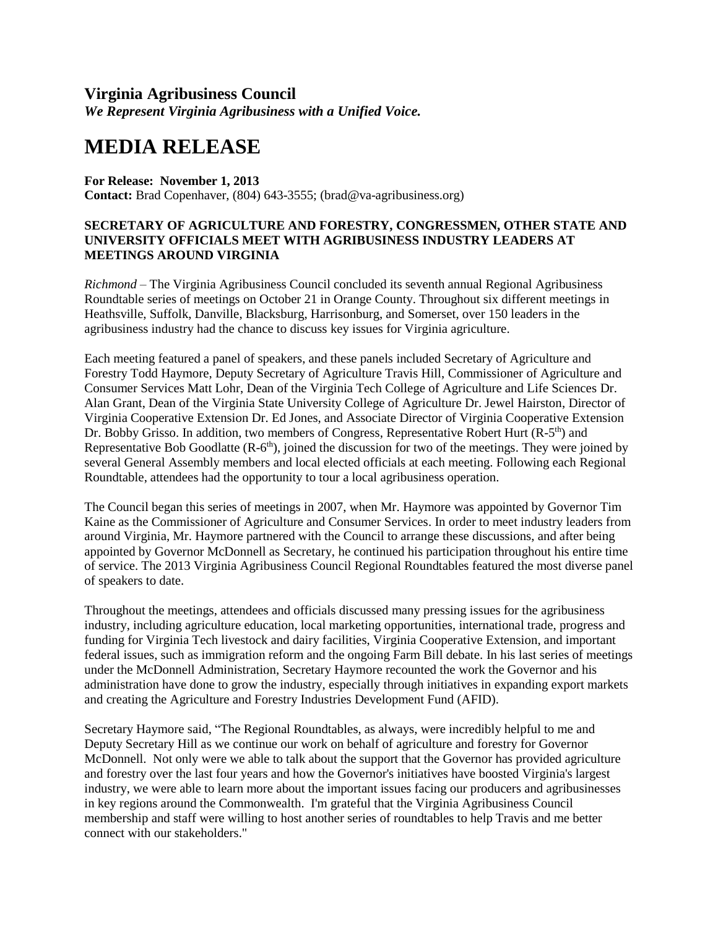## **Virginia Agribusiness Council**

*We Represent Virginia Agribusiness with a Unified Voice.*

## **MEDIA RELEASE**

## **For Release: November 1, 2013**

**Contact:** Brad Copenhaver, (804) 643-3555; (brad@va-agribusiness.org)

## **SECRETARY OF AGRICULTURE AND FORESTRY, CONGRESSMEN, OTHER STATE AND UNIVERSITY OFFICIALS MEET WITH AGRIBUSINESS INDUSTRY LEADERS AT MEETINGS AROUND VIRGINIA**

*Richmond* – The Virginia Agribusiness Council concluded its seventh annual Regional Agribusiness Roundtable series of meetings on October 21 in Orange County. Throughout six different meetings in Heathsville, Suffolk, Danville, Blacksburg, Harrisonburg, and Somerset, over 150 leaders in the agribusiness industry had the chance to discuss key issues for Virginia agriculture.

Each meeting featured a panel of speakers, and these panels included Secretary of Agriculture and Forestry Todd Haymore, Deputy Secretary of Agriculture Travis Hill, Commissioner of Agriculture and Consumer Services Matt Lohr, Dean of the Virginia Tech College of Agriculture and Life Sciences Dr. Alan Grant, Dean of the Virginia State University College of Agriculture Dr. Jewel Hairston, Director of Virginia Cooperative Extension Dr. Ed Jones, and Associate Director of Virginia Cooperative Extension Dr. Bobby Grisso. In addition, two members of Congress, Representative Robert Hurt (R-5<sup>th</sup>) and Representative Bob Goodlatte (R-6<sup>th</sup>), joined the discussion for two of the meetings. They were joined by several General Assembly members and local elected officials at each meeting. Following each Regional Roundtable, attendees had the opportunity to tour a local agribusiness operation.

The Council began this series of meetings in 2007, when Mr. Haymore was appointed by Governor Tim Kaine as the Commissioner of Agriculture and Consumer Services. In order to meet industry leaders from around Virginia, Mr. Haymore partnered with the Council to arrange these discussions, and after being appointed by Governor McDonnell as Secretary, he continued his participation throughout his entire time of service. The 2013 Virginia Agribusiness Council Regional Roundtables featured the most diverse panel of speakers to date.

Throughout the meetings, attendees and officials discussed many pressing issues for the agribusiness industry, including agriculture education, local marketing opportunities, international trade, progress and funding for Virginia Tech livestock and dairy facilities, Virginia Cooperative Extension, and important federal issues, such as immigration reform and the ongoing Farm Bill debate. In his last series of meetings under the McDonnell Administration, Secretary Haymore recounted the work the Governor and his administration have done to grow the industry, especially through initiatives in expanding export markets and creating the Agriculture and Forestry Industries Development Fund (AFID).

Secretary Haymore said, "The Regional Roundtables, as always, were incredibly helpful to me and Deputy Secretary Hill as we continue our work on behalf of agriculture and forestry for Governor McDonnell. Not only were we able to talk about the support that the Governor has provided agriculture and forestry over the last four years and how the Governor's initiatives have boosted Virginia's largest industry, we were able to learn more about the important issues facing our producers and agribusinesses in key regions around the Commonwealth. I'm grateful that the Virginia Agribusiness Council membership and staff were willing to host another series of roundtables to help Travis and me better connect with our stakeholders."